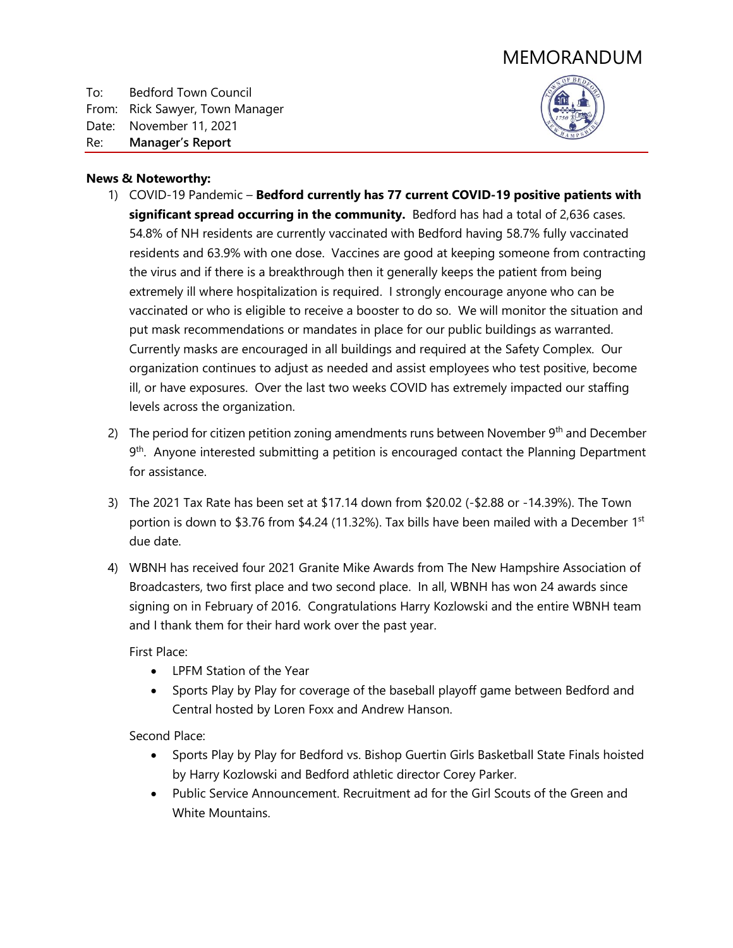# MEMORANDUM

To: Bedford Town Council From: Rick Sawyer, Town Manager Date: November 11, 2021 Re: **Manager's Report**



#### **News & Noteworthy:**

- 1) COVID-19 Pandemic **Bedford currently has 77 current COVID-19 positive patients with significant spread occurring in the community.** Bedford has had a total of 2,636 cases. 54.8% of NH residents are currently vaccinated with Bedford having 58.7% fully vaccinated residents and 63.9% with one dose. Vaccines are good at keeping someone from contracting the virus and if there is a breakthrough then it generally keeps the patient from being extremely ill where hospitalization is required. I strongly encourage anyone who can be vaccinated or who is eligible to receive a booster to do so. We will monitor the situation and put mask recommendations or mandates in place for our public buildings as warranted. Currently masks are encouraged in all buildings and required at the Safety Complex. Our organization continues to adjust as needed and assist employees who test positive, become ill, or have exposures. Over the last two weeks COVID has extremely impacted our staffing levels across the organization.
- 2) The period for citizen petition zoning amendments runs between November  $9<sup>th</sup>$  and December 9<sup>th</sup>. Anyone interested submitting a petition is encouraged contact the Planning Department for assistance.
- 3) The 2021 Tax Rate has been set at \$17.14 down from \$20.02 (-\$2.88 or -14.39%). The Town portion is down to \$3.76 from \$4.24 (11.32%). Tax bills have been mailed with a December 1<sup>st</sup> due date.
- 4) WBNH has received four 2021 Granite Mike Awards from The New Hampshire Association of Broadcasters, two first place and two second place. In all, WBNH has won 24 awards since signing on in February of 2016. Congratulations Harry Kozlowski and the entire WBNH team and I thank them for their hard work over the past year.

First Place:

- LPFM Station of the Year
- Sports Play by Play for coverage of the baseball playoff game between Bedford and Central hosted by Loren Foxx and Andrew Hanson.

Second Place:

- Sports Play by Play for Bedford vs. Bishop Guertin Girls Basketball State Finals hoisted by Harry Kozlowski and Bedford athletic director Corey Parker.
- Public Service Announcement. Recruitment ad for the Girl Scouts of the Green and White Mountains.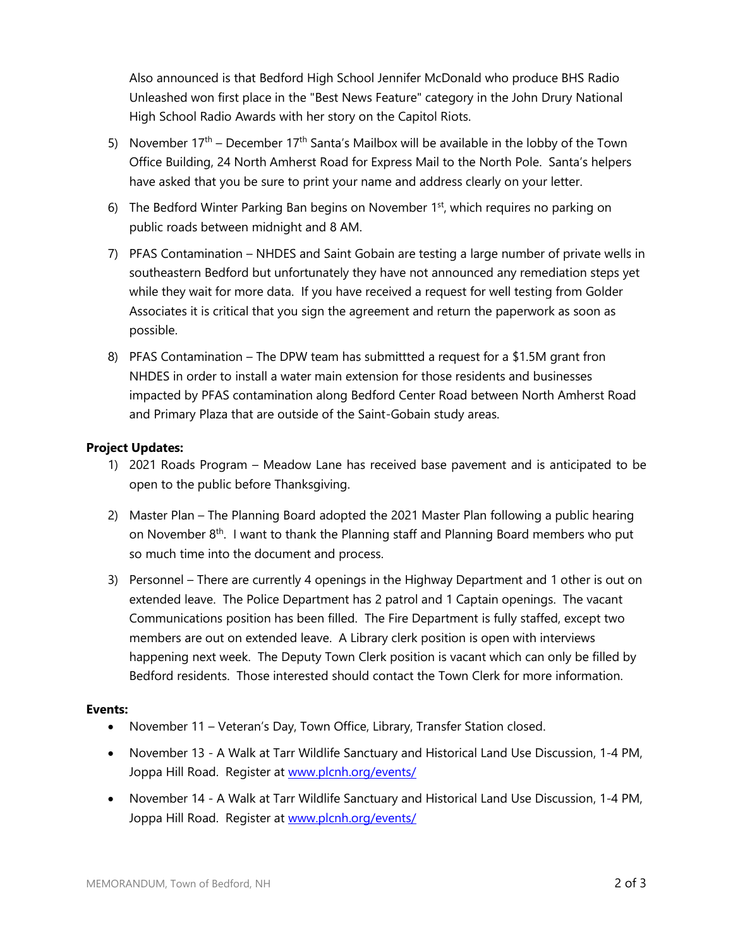Also announced is that Bedford High School Jennifer McDonald who produce BHS Radio Unleashed won first place in the "Best News Feature" category in the John Drury National High School Radio Awards with her story on the Capitol Riots.

- 5) November  $17<sup>th</sup>$  December  $17<sup>th</sup>$  Santa's Mailbox will be available in the lobby of the Town Office Building, 24 North Amherst Road for Express Mail to the North Pole. Santa's helpers have asked that you be sure to print your name and address clearly on your letter.
- 6) The Bedford Winter Parking Ban begins on November  $1<sup>st</sup>$ , which requires no parking on public roads between midnight and 8 AM.
- 7) PFAS Contamination NHDES and Saint Gobain are testing a large number of private wells in southeastern Bedford but unfortunately they have not announced any remediation steps yet while they wait for more data. If you have received a request for well testing from Golder Associates it is critical that you sign the agreement and return the paperwork as soon as possible.
- 8) PFAS Contamination The DPW team has submittted a request for a \$1.5M grant fron NHDES in order to install a water main extension for those residents and businesses impacted by PFAS contamination along Bedford Center Road between North Amherst Road and Primary Plaza that are outside of the Saint-Gobain study areas.

### **Project Updates:**

- 1) 2021 Roads Program Meadow Lane has received base pavement and is anticipated to be open to the public before Thanksgiving.
- 2) Master Plan The Planning Board adopted the 2021 Master Plan following a public hearing on November 8<sup>th</sup>. I want to thank the Planning staff and Planning Board members who put so much time into the document and process.
- 3) Personnel There are currently 4 openings in the Highway Department and 1 other is out on extended leave. The Police Department has 2 patrol and 1 Captain openings. The vacant Communications position has been filled. The Fire Department is fully staffed, except two members are out on extended leave. A Library clerk position is open with interviews happening next week. The Deputy Town Clerk position is vacant which can only be filled by Bedford residents. Those interested should contact the Town Clerk for more information.

#### **Events:**

- November 11 Veteran's Day, Town Office, Library, Transfer Station closed.
- November 13 A Walk at Tarr Wildlife Sanctuary and Historical Land Use Discussion, 1-4 PM, Joppa Hill Road. Register at [www.plcnh.org/events/](http://www.plcnh.org/events/)
- November 14 A Walk at Tarr Wildlife Sanctuary and Historical Land Use Discussion, 1-4 PM, Joppa Hill Road. Register at [www.plcnh.org/events/](http://www.plcnh.org/events/)